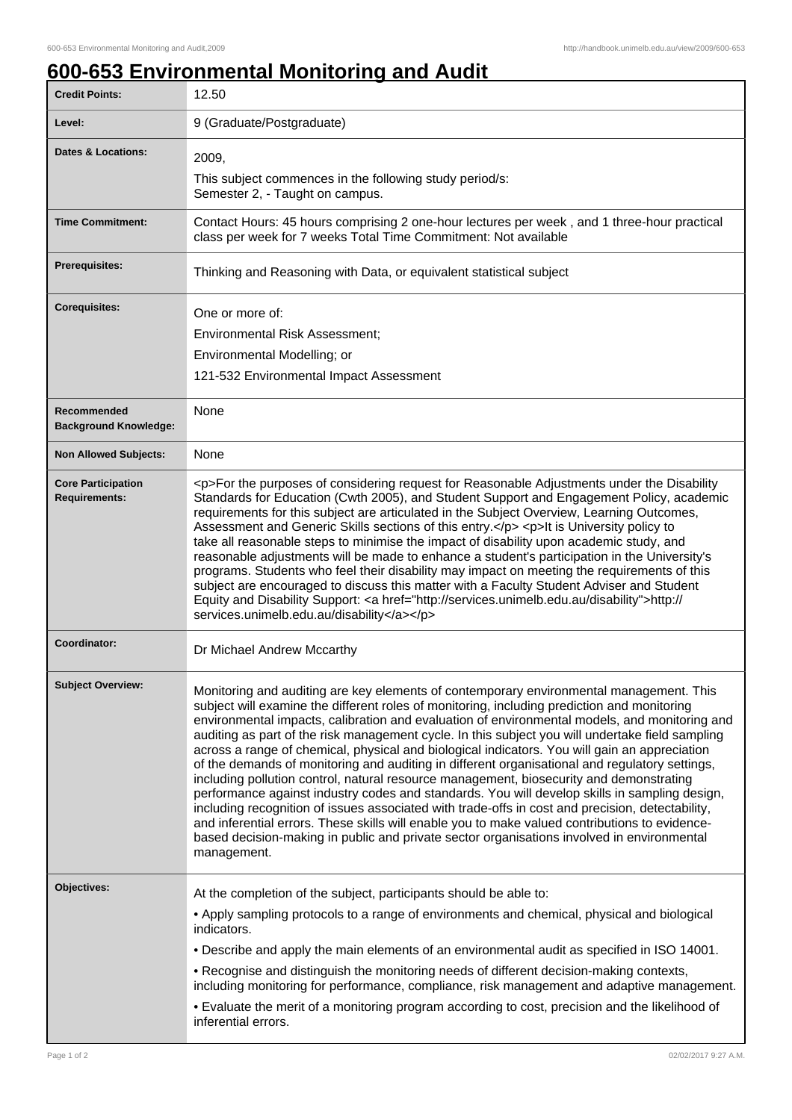## **600-653 Environmental Monitoring and Audit**

| <b>Credit Points:</b>                             | 12.50                                                                                                                                                                                                                                                                                                                                                                                                                                                                                                                                                                                                                                                                                                                                                                                                                                                                                                                                                                                                                                                                                                         |
|---------------------------------------------------|---------------------------------------------------------------------------------------------------------------------------------------------------------------------------------------------------------------------------------------------------------------------------------------------------------------------------------------------------------------------------------------------------------------------------------------------------------------------------------------------------------------------------------------------------------------------------------------------------------------------------------------------------------------------------------------------------------------------------------------------------------------------------------------------------------------------------------------------------------------------------------------------------------------------------------------------------------------------------------------------------------------------------------------------------------------------------------------------------------------|
| Level:                                            | 9 (Graduate/Postgraduate)                                                                                                                                                                                                                                                                                                                                                                                                                                                                                                                                                                                                                                                                                                                                                                                                                                                                                                                                                                                                                                                                                     |
| <b>Dates &amp; Locations:</b>                     | 2009,                                                                                                                                                                                                                                                                                                                                                                                                                                                                                                                                                                                                                                                                                                                                                                                                                                                                                                                                                                                                                                                                                                         |
|                                                   | This subject commences in the following study period/s:<br>Semester 2, - Taught on campus.                                                                                                                                                                                                                                                                                                                                                                                                                                                                                                                                                                                                                                                                                                                                                                                                                                                                                                                                                                                                                    |
| <b>Time Commitment:</b>                           | Contact Hours: 45 hours comprising 2 one-hour lectures per week, and 1 three-hour practical<br>class per week for 7 weeks Total Time Commitment: Not available                                                                                                                                                                                                                                                                                                                                                                                                                                                                                                                                                                                                                                                                                                                                                                                                                                                                                                                                                |
| <b>Prerequisites:</b>                             | Thinking and Reasoning with Data, or equivalent statistical subject                                                                                                                                                                                                                                                                                                                                                                                                                                                                                                                                                                                                                                                                                                                                                                                                                                                                                                                                                                                                                                           |
| <b>Corequisites:</b>                              | One or more of:                                                                                                                                                                                                                                                                                                                                                                                                                                                                                                                                                                                                                                                                                                                                                                                                                                                                                                                                                                                                                                                                                               |
|                                                   | Environmental Risk Assessment;                                                                                                                                                                                                                                                                                                                                                                                                                                                                                                                                                                                                                                                                                                                                                                                                                                                                                                                                                                                                                                                                                |
|                                                   | Environmental Modelling; or                                                                                                                                                                                                                                                                                                                                                                                                                                                                                                                                                                                                                                                                                                                                                                                                                                                                                                                                                                                                                                                                                   |
|                                                   | 121-532 Environmental Impact Assessment                                                                                                                                                                                                                                                                                                                                                                                                                                                                                                                                                                                                                                                                                                                                                                                                                                                                                                                                                                                                                                                                       |
| Recommended<br><b>Background Knowledge:</b>       | None                                                                                                                                                                                                                                                                                                                                                                                                                                                                                                                                                                                                                                                                                                                                                                                                                                                                                                                                                                                                                                                                                                          |
| <b>Non Allowed Subjects:</b>                      | <b>None</b>                                                                                                                                                                                                                                                                                                                                                                                                                                                                                                                                                                                                                                                                                                                                                                                                                                                                                                                                                                                                                                                                                                   |
| <b>Core Participation</b><br><b>Requirements:</b> | <p>For the purposes of considering request for Reasonable Adjustments under the Disability<br/>Standards for Education (Cwth 2005), and Student Support and Engagement Policy, academic<br/>requirements for this subject are articulated in the Subject Overview, Learning Outcomes,<br/>Assessment and Generic Skills sections of this entry.</p> <p>lt is University policy to<br/>take all reasonable steps to minimise the impact of disability upon academic study, and<br/>reasonable adjustments will be made to enhance a student's participation in the University's<br/>programs. Students who feel their disability may impact on meeting the requirements of this<br/>subject are encouraged to discuss this matter with a Faculty Student Adviser and Student<br/>Equity and Disability Support: &lt; a href="http://services.unimelb.edu.au/disability"&gt;http://<br/>services.unimelb.edu.au/disability</p>                                                                                                                                                                                  |
| Coordinator:                                      | Dr Michael Andrew Mccarthy                                                                                                                                                                                                                                                                                                                                                                                                                                                                                                                                                                                                                                                                                                                                                                                                                                                                                                                                                                                                                                                                                    |
| <b>Subject Overview:</b>                          | Monitoring and auditing are key elements of contemporary environmental management. This<br>subject will examine the different roles of monitoring, including prediction and monitoring<br>environmental impacts, calibration and evaluation of environmental models, and monitoring and<br>auditing as part of the risk management cycle. In this subject you will undertake field sampling<br>across a range of chemical, physical and biological indicators. You will gain an appreciation<br>of the demands of monitoring and auditing in different organisational and regulatory settings,<br>including pollution control, natural resource management, biosecurity and demonstrating<br>performance against industry codes and standards. You will develop skills in sampling design,<br>including recognition of issues associated with trade-offs in cost and precision, detectability,<br>and inferential errors. These skills will enable you to make valued contributions to evidence-<br>based decision-making in public and private sector organisations involved in environmental<br>management. |
| Objectives:                                       | At the completion of the subject, participants should be able to:                                                                                                                                                                                                                                                                                                                                                                                                                                                                                                                                                                                                                                                                                                                                                                                                                                                                                                                                                                                                                                             |
|                                                   | • Apply sampling protocols to a range of environments and chemical, physical and biological<br>indicators.                                                                                                                                                                                                                                                                                                                                                                                                                                                                                                                                                                                                                                                                                                                                                                                                                                                                                                                                                                                                    |
|                                                   | . Describe and apply the main elements of an environmental audit as specified in ISO 14001.                                                                                                                                                                                                                                                                                                                                                                                                                                                                                                                                                                                                                                                                                                                                                                                                                                                                                                                                                                                                                   |
|                                                   | . Recognise and distinguish the monitoring needs of different decision-making contexts,<br>including monitoring for performance, compliance, risk management and adaptive management.                                                                                                                                                                                                                                                                                                                                                                                                                                                                                                                                                                                                                                                                                                                                                                                                                                                                                                                         |
|                                                   | . Evaluate the merit of a monitoring program according to cost, precision and the likelihood of<br>inferential errors.                                                                                                                                                                                                                                                                                                                                                                                                                                                                                                                                                                                                                                                                                                                                                                                                                                                                                                                                                                                        |